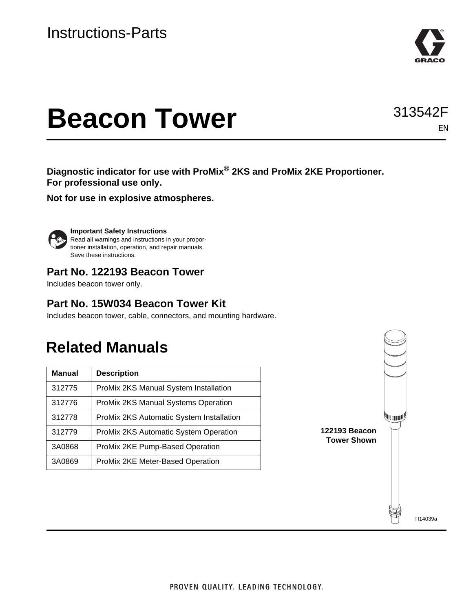

# **Beacon Tower**

**Diagnostic indicator for use with ProMix® 2KS and ProMix 2KE Proportioner. For professional use only.**

**Not for use in explosive atmospheres.**



**Important Safety Instructions** Read all warnings and instructions in your proportioner installation, operation, and repair manuals. Save these instructions.

### **Part No. 122193 Beacon Tower**

Includes beacon tower only.

### **Part No. 15W034 Beacon Tower Kit**

Includes beacon tower, cable, connectors, and mounting hardware.

# **Related Manuals**

| <b>Manual</b> | <b>Description</b>                           |
|---------------|----------------------------------------------|
| 312775        | ProMix 2KS Manual System Installation        |
| 312776        | ProMix 2KS Manual Systems Operation          |
| 312778        | ProMix 2KS Automatic System Installation     |
| 312779        | <b>ProMix 2KS Automatic System Operation</b> |
| 3A0868        | ProMix 2KE Pump-Based Operation              |
| 3A0869        | ProMix 2KE Meter-Based Operation             |



EN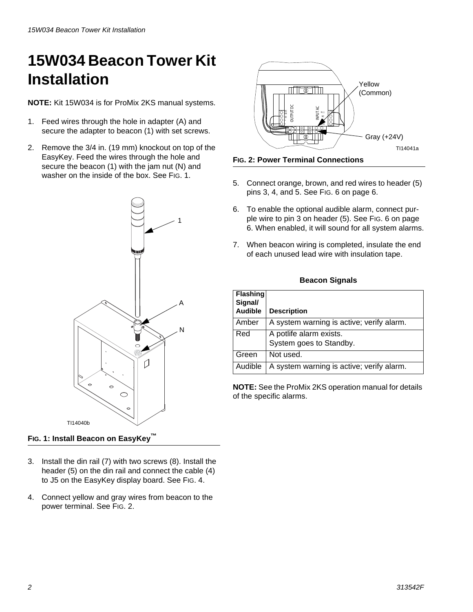# **15W034 Beacon Tower Kit Installation**

**NOTE:** Kit 15W034 is for ProMix 2KS manual systems.

- 1. Feed wires through the hole in adapter (A) and secure the adapter to beacon (1) with set screws.
- 2. Remove the 3/4 in. (19 mm) knockout on top of the EasyKey. Feed the wires through the hole and secure the beacon (1) with the jam nut (N) and washer on the inside of the box. See FIG. 1.





**FIG. 2: Power Terminal Connections**

- 5. Connect orange, brown, and red wires to header (5) pins 3, 4, and 5. See FIG. 6 on page 6.
- 6. To enable the optional audible alarm, connect purple wire to pin 3 on header (5). See FIG. 6 on page 6. When enabled, it will sound for all system alarms.
- 7. When beacon wiring is completed, insulate the end of each unused lead wire with insulation tape.

#### **Beacon Signals**

|                       |                           | <b>UTPUTD</b><br>ŏ                                                                                                                                                 |  |  |  |
|-----------------------|---------------------------|--------------------------------------------------------------------------------------------------------------------------------------------------------------------|--|--|--|
|                       |                           | Gray (+24V)<br>Œ                                                                                                                                                   |  |  |  |
|                       |                           | TI14041a                                                                                                                                                           |  |  |  |
|                       |                           | <b>Fig. 2: Power Terminal Connections</b>                                                                                                                          |  |  |  |
| 5.                    |                           | Connect orange, brown, and red wires to header (5)<br>pins 3, 4, and 5. See FIG. 6 on page 6.                                                                      |  |  |  |
| 6.                    |                           | To enable the optional audible alarm, connect pur-<br>ple wire to pin 3 on header (5). See FIG. 6 on page<br>6. When enabled, it will sound for all system alarms. |  |  |  |
|                       |                           | 7. When beacon wiring is completed, insulate the end<br>of each unused lead wire with insulation tape.                                                             |  |  |  |
| <b>Beacon Signals</b> |                           |                                                                                                                                                                    |  |  |  |
|                       | <b>Flashing</b>           |                                                                                                                                                                    |  |  |  |
|                       | Signal/<br><b>Audible</b> | <b>Description</b>                                                                                                                                                 |  |  |  |
|                       | Amber                     | A system warning is active; verify alarm.                                                                                                                          |  |  |  |
| Red                   |                           | A potlife alarm exists.<br>System goes to Standby.                                                                                                                 |  |  |  |
|                       | Green                     | Not used.                                                                                                                                                          |  |  |  |
| Audible               |                           | A system warning is active; verify alarm.                                                                                                                          |  |  |  |

**NOTE:** See the ProMix 2KS operation manual for details of the specific alarms.

**FIG. 1: Install Beacon on EasyKey™**

- 3. Install the din rail (7) with two screws (8). Install the header (5) on the din rail and connect the cable (4) to J5 on the EasyKey display board. See [FIG. 4](#page-4-0).
- 4. Connect yellow and gray wires from beacon to the power terminal. See FIG. 2.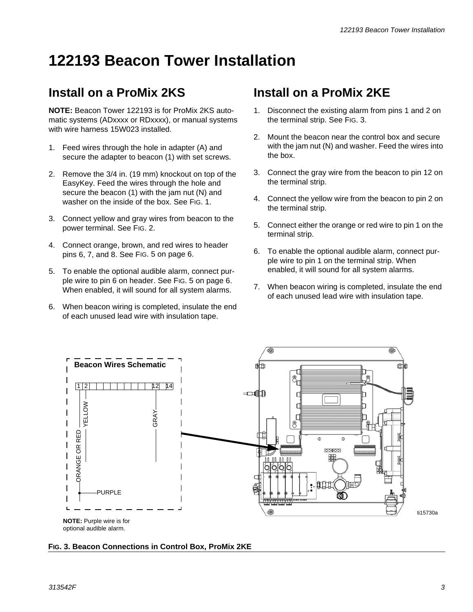# **122193 Beacon Tower Installation**

## **Install on a ProMix 2KS**

**NOTE:** Beacon Tower 122193 is for ProMix 2KS automatic systems (ADxxxx or RDxxxx), or manual systems with wire harness 15W023 installed.

- 1. Feed wires through the hole in adapter (A) and secure the adapter to beacon (1) with set screws.
- 2. Remove the 3/4 in. (19 mm) knockout on top of the EasyKey. Feed the wires through the hole and secure the beacon (1) with the jam nut (N) and washer on the inside of the box. See FIG. 1.
- 3. Connect yellow and gray wires from beacon to the power terminal. See FIG. 2.
- 4. Connect orange, brown, and red wires to header pins 6, 7, and 8. See [FIG. 5](#page-5-0) on page [6](#page-5-0).
- 5. To enable the optional audible alarm, connect purple wire to pin 6 on header. See [FIG. 5](#page-5-0) on page [6.](#page-5-0) When enabled, it will sound for all system alarms.
- 6. When beacon wiring is completed, insulate the end of each unused lead wire with insulation tape.

## **Install on a ProMix 2KE**

- 1. Disconnect the existing alarm from pins 1 and 2 on the terminal strip. See FIG. 3.
- 2. Mount the beacon near the control box and secure with the jam nut (N) and washer. Feed the wires into the box.
- 3. Connect the gray wire from the beacon to pin 12 on the terminal strip.
- 4. Connect the yellow wire from the beacon to pin 2 on the terminal strip.
- 5. Connect either the orange or red wire to pin 1 on the terminal strip.
- 6. To enable the optional audible alarm, connect purple wire to pin 1 on the terminal strip. When enabled, it will sound for all system alarms.
- 7. When beacon wiring is completed, insulate the end of each unused lead wire with insulation tape.



#### **FIG. 3. Beacon Connections in Control Box, ProMix 2KE**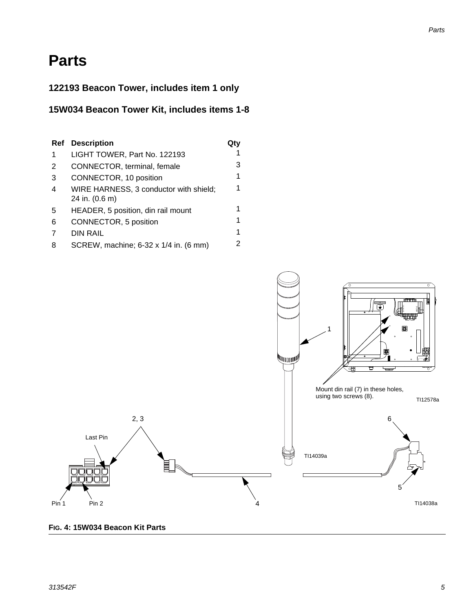#### *Parts*

# **Parts**

### **122193 Beacon Tower, includes item 1 only**

#### **15W034 Beacon Tower Kit, includes items 1-8**

| Ref | <b>Description</b>                                       |   |
|-----|----------------------------------------------------------|---|
| 1   | LIGHT TOWER, Part No. 122193                             | 1 |
| 2   | CONNECTOR, terminal, female                              | 3 |
| 3   | CONNECTOR, 10 position                                   | 1 |
| 4   | WIRE HARNESS, 3 conductor with shield;<br>24 in. (0.6 m) | 1 |
| 5   | HEADER, 5 position, din rail mount                       | 1 |
| 6   | CONNECTOR, 5 position                                    | 1 |
| 7   | DIN RAIL                                                 | 1 |
| 8   | SCREW, machine; 6-32 x 1/4 in. (6 mm)                    | 2 |



<span id="page-4-0"></span>